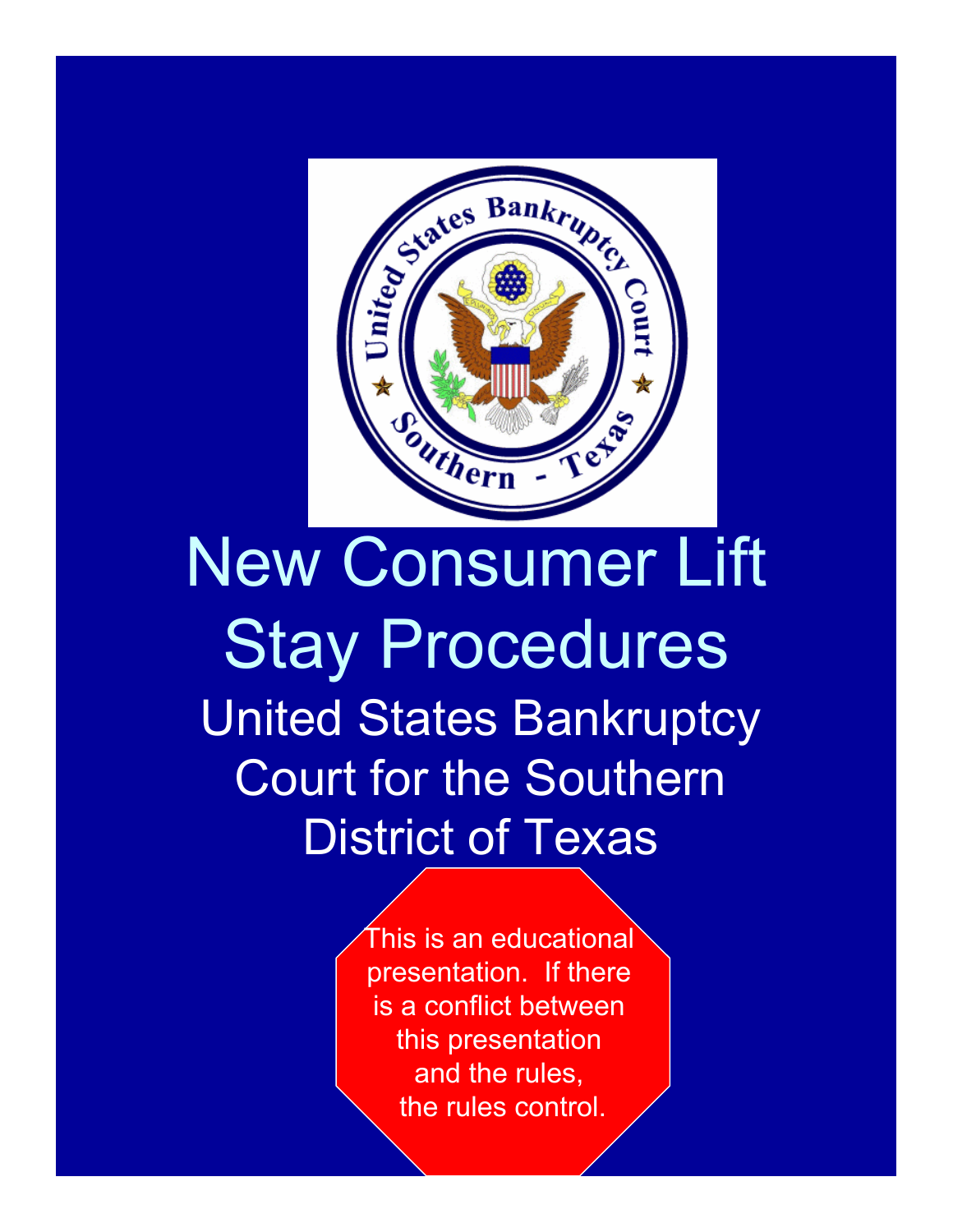

## New Consumer Lift Stay Procedures United States Bankruptcy Court for the Southern District of Texas

This is an educational presentation. If there is a conflict between this presentation and the rules, the rules control.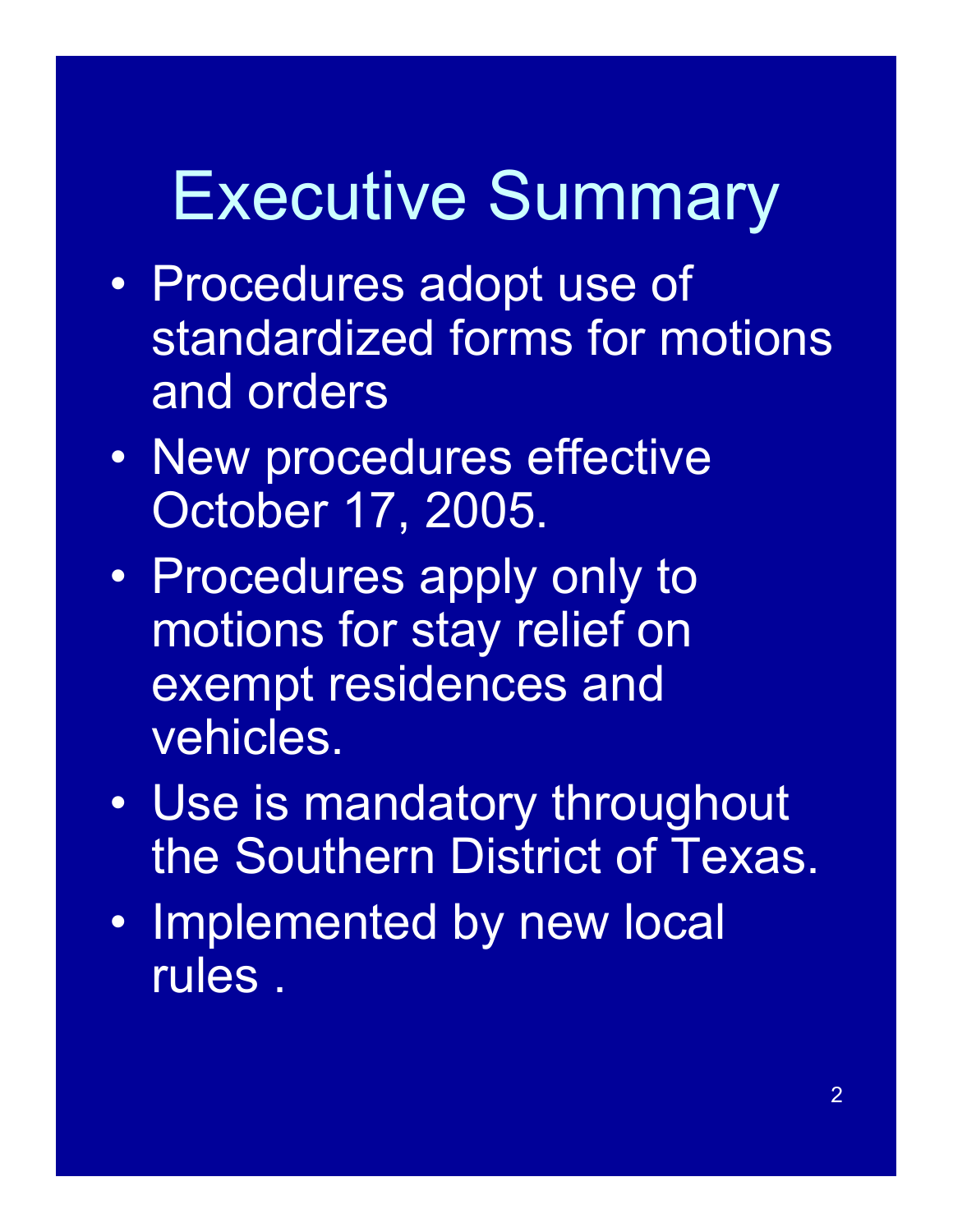# Executive Summary

- Procedures adopt use of standardized forms for motions and orders
- New procedures effective October 17, 2005.
- Procedures apply only to motions for stay relief on exempt residences and vehicles.
- Use is mandatory throughout the Southern District of Texas.
- Implemented by new local rules .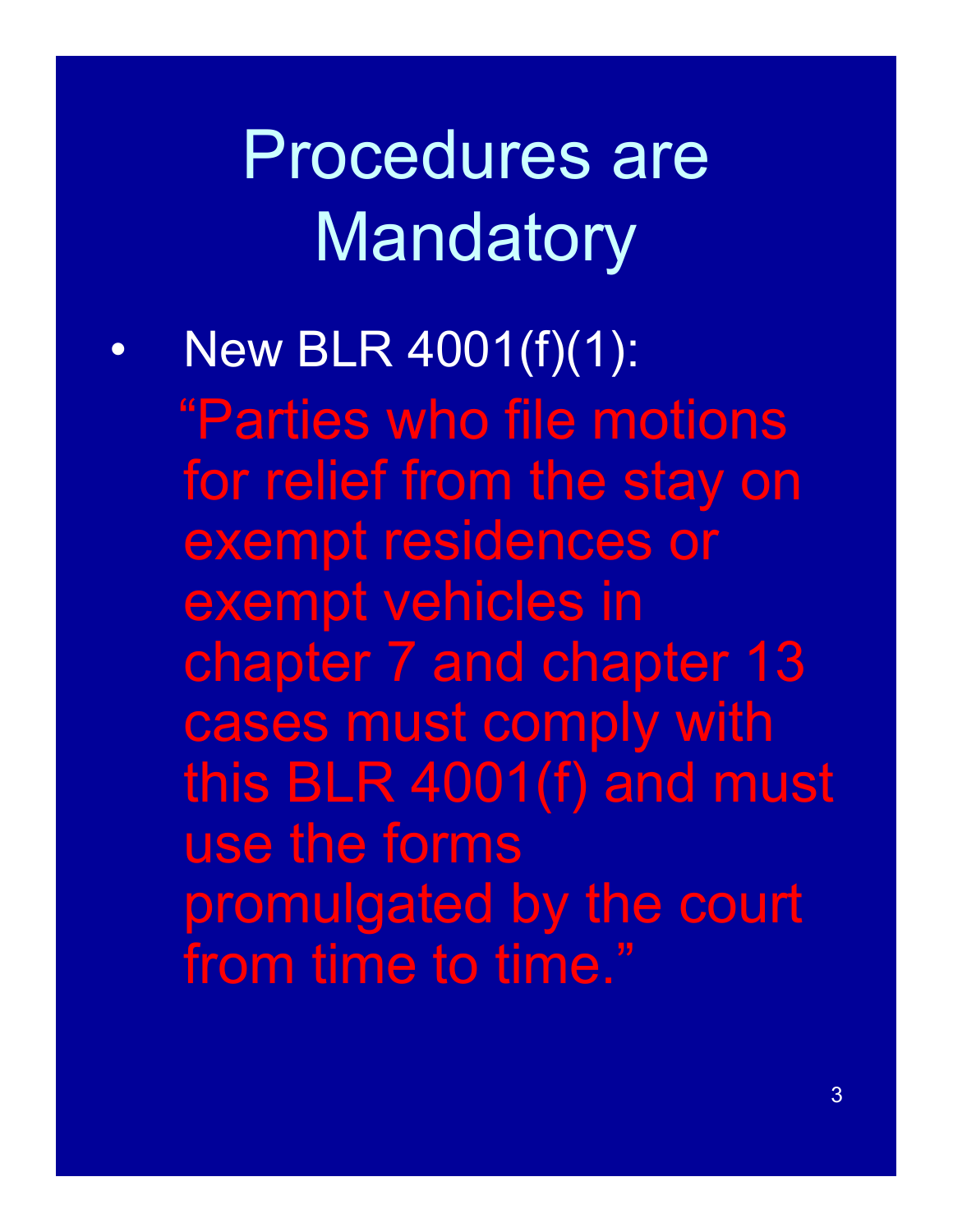# Procedures are **Mandatory**

New BLR 4001(f)(1):

"Parties who file motions for relief from the stay on exempt residences or exempt vehicles in chapter 7 and chapter 13 cases must comply with this BLR 4001(f) and must use the forms promulgated by the court from time to time."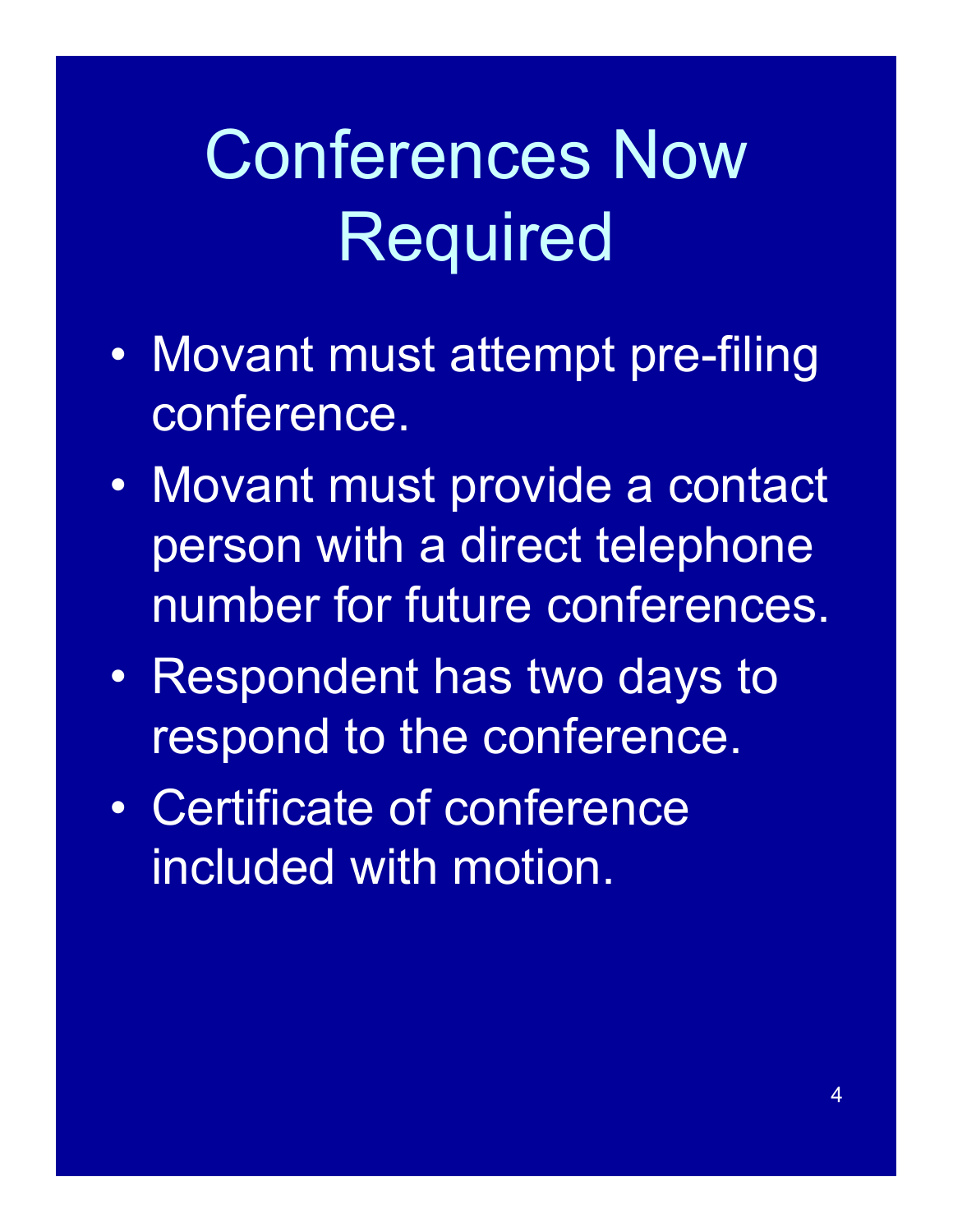# Conferences Now Required

- Movant must attempt pre-filing conference.
- Movant must provide a contact person with a direct telephone number for future conferences.
- Respondent has two days to respond to the conference.
- Certificate of conference included with motion.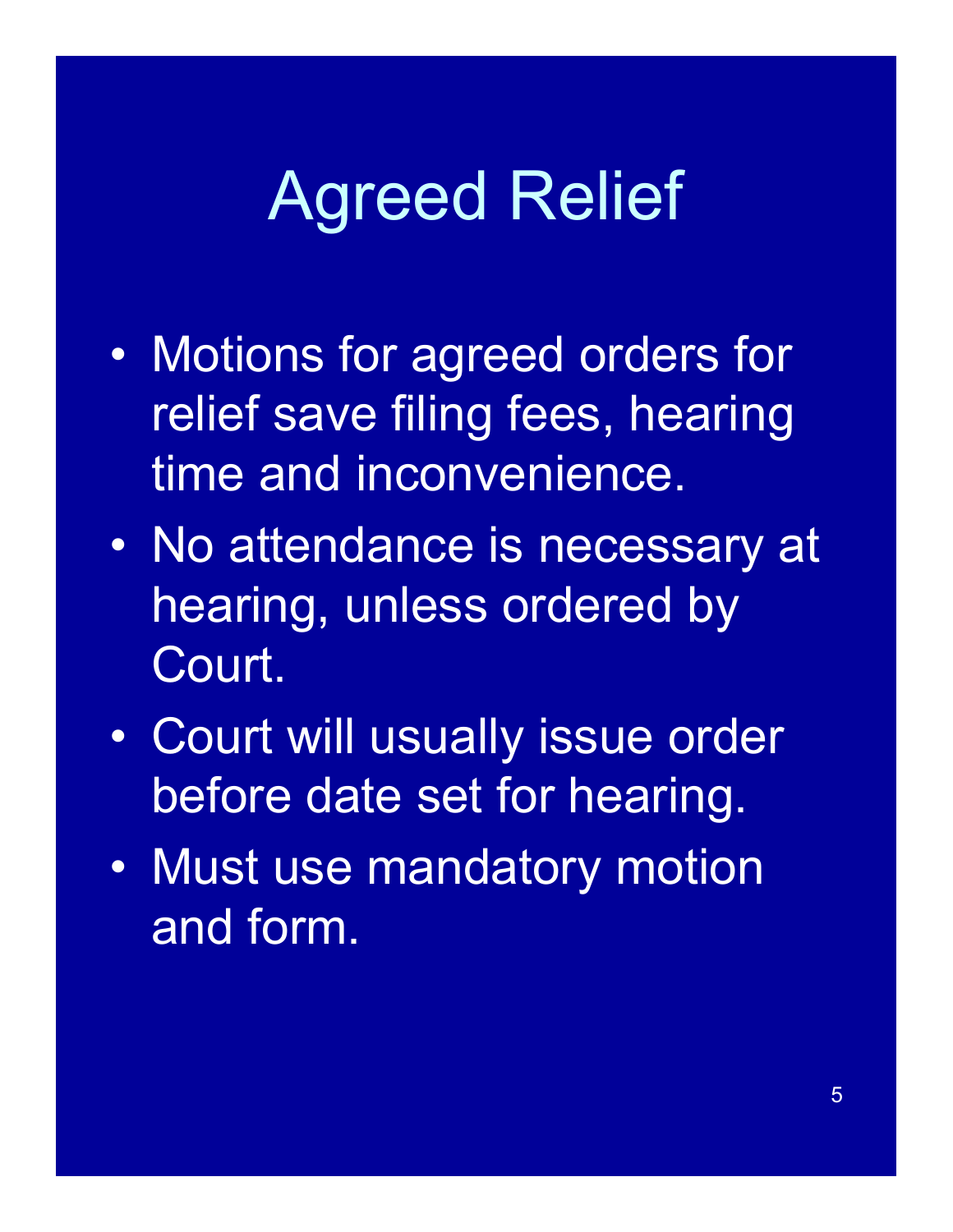# Agreed Relief

- Motions for agreed orders for relief save filing fees, hearing time and inconvenience.
- No attendance is necessary at hearing, unless ordered by Court.
- Court will usually issue order before date set for hearing.
- Must use mandatory motion and form.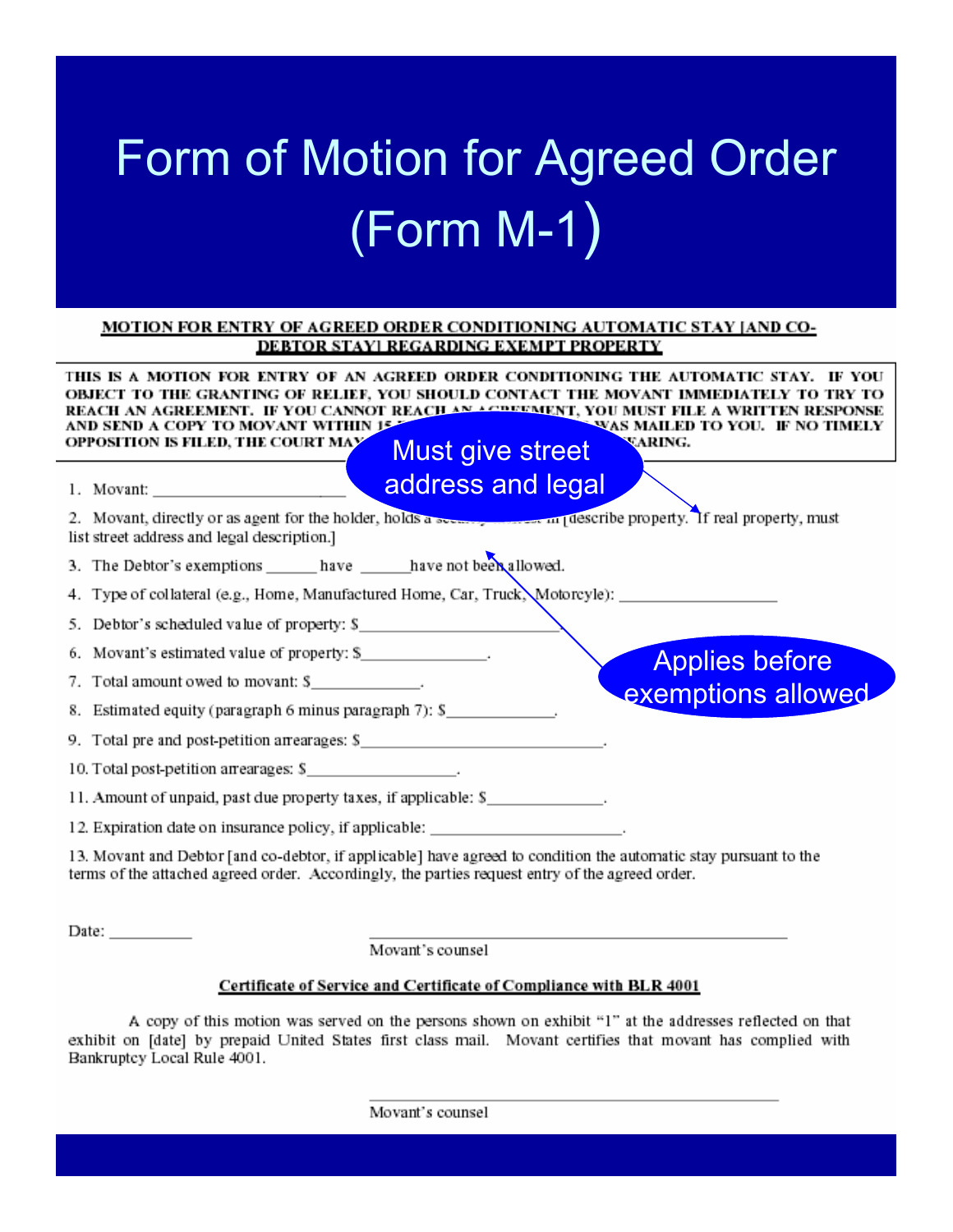## Form of Motion for Agreed Order (Form M-1)

### MOTION FOR ENTRY OF AGREED ORDER CONDITIONING AUTOMATIC STAY [AND CO-DEBTOR STAYI REGARDING EXEMPT PROPERTY

| THIS IS A MOTION FOR ENTRY OF AN AGREED ORDER CONDITIONING THE AUTOMATIC STAY. IF YOU<br>OBJECT TO THE GRANTING OF RELIEF, YOU SHOULD CONTACT THE MOVANT IMMEDIATELY TO<br>REACH AN AGREEMENT. IF YOU CANNOT REACH AN ACREEMENT, YOU MUST FILE A WRITTEN RESPONSE<br>AND SEND A COPY TO MOVANT WITHIN 15.<br>SWAS MAILED TO YOU. IF NO TIMELY<br>OPPOSITION IS FILED, THE COURT MAY<br><b>VARING.</b><br><b>Must give street</b> |
|----------------------------------------------------------------------------------------------------------------------------------------------------------------------------------------------------------------------------------------------------------------------------------------------------------------------------------------------------------------------------------------------------------------------------------|
| address and legal                                                                                                                                                                                                                                                                                                                                                                                                                |
| 2. Movant, directly or as agent for the holder, holds a space of the second describe property. If real property, must<br>list street address and legal description.]                                                                                                                                                                                                                                                             |
| 3. The Debtor's exemptions ______ have ______ have not been allowed.                                                                                                                                                                                                                                                                                                                                                             |
| 4. Type of collateral (e.g., Home, Manufactured Home, Car, Truck, Motorcyle):                                                                                                                                                                                                                                                                                                                                                    |
| Debtor's scheduled value of property: \$                                                                                                                                                                                                                                                                                                                                                                                         |
| 6. Movant's estimated value of property: \$<br><b>Applies before</b>                                                                                                                                                                                                                                                                                                                                                             |
| 7. Total amount owed to movant: \$                                                                                                                                                                                                                                                                                                                                                                                               |
| exemptions allowed<br>8. Estimated equity (paragraph 6 minus paragraph 7): \$                                                                                                                                                                                                                                                                                                                                                    |
| 9. Total pre and post-petition arrearages: \$                                                                                                                                                                                                                                                                                                                                                                                    |
| 10. Total post-petition arrearages: \$                                                                                                                                                                                                                                                                                                                                                                                           |
| 11. Amount of unpaid, past due property taxes, if applicable: \$                                                                                                                                                                                                                                                                                                                                                                 |
| 12. Expiration date on insurance policy, if applicable: _______________________.                                                                                                                                                                                                                                                                                                                                                 |
| 13. Movant and Debtor [and co-debtor, if applicable] have agreed to condition the automatic stay pursuant to the<br>terms of the attached agreed order. Accordingly, the parties request entry of the agreed order.                                                                                                                                                                                                              |

Date:  $\_\_$ 

Movant's counsel

### Certificate of Service and Certificate of Compliance with BLR 4001

A copy of this motion was served on the persons shown on exhibit "1" at the addresses reflected on that exhibit on [date] by prepaid United States first class mail. Movant certifies that movant has complied with Bankruptcy Local Rule 4001.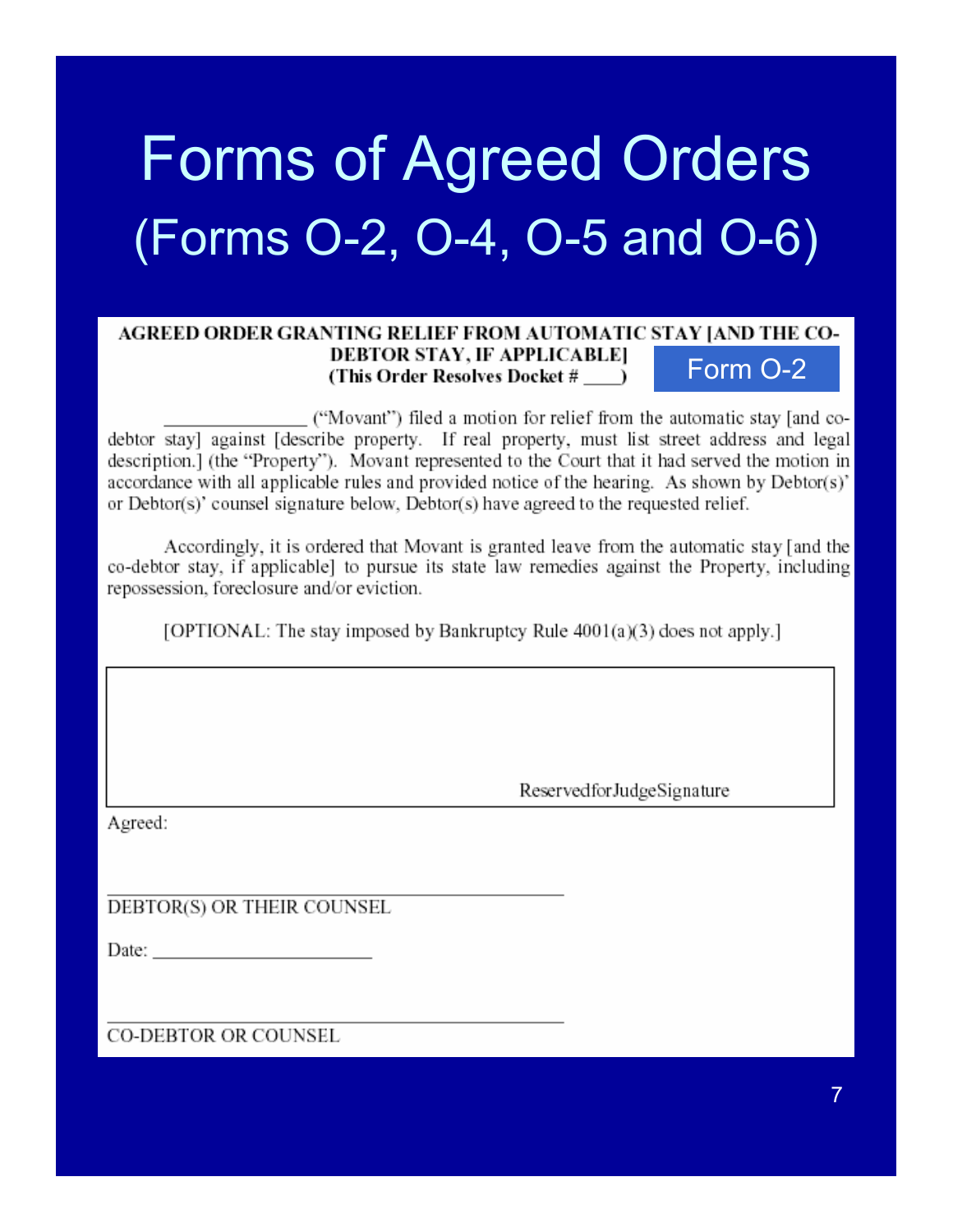# Forms of Agreed Orders (Forms O-2, O-4, O-5 and O-6)

### AGREED ORDER GRANTING RELIEF FROM AUTOMATIC STAY JAND THE CO-**DEBTOR STAY, IF APPLICABLE]** Form O-2(This Order Resolves Docket #)

("Movant") filed a motion for relief from the automatic stay [and codebtor stay] against [describe property. If real property, must list street address and legal description.] (the "Property"). Movant represented to the Court that it had served the motion in accordance with all applicable rules and provided notice of the hearing. As shown by Debtor(s)' or Debtor(s)' counsel signature below, Debtor(s) have agreed to the requested relief.

Accordingly, it is ordered that Movant is granted leave from the automatic stay [and the co-debtor stay, if applicable] to pursue its state law remedies against the Property, including repossession, foreclosure and/or eviction.

[OPTIONAL: The stay imposed by Bankruptcy Rule 4001(a)(3) does not apply.]

ReservedforJudgeSignature

Agreed:

DEBTOR(S) OR THEIR COUNSEL

Date: the contract of the contract of the contract of the contract of the contract of the contract of the contract of the contract of the contract of the contract of the contract of the contract of the contract of the cont

**CO-DEBTOR OR COUNSEL**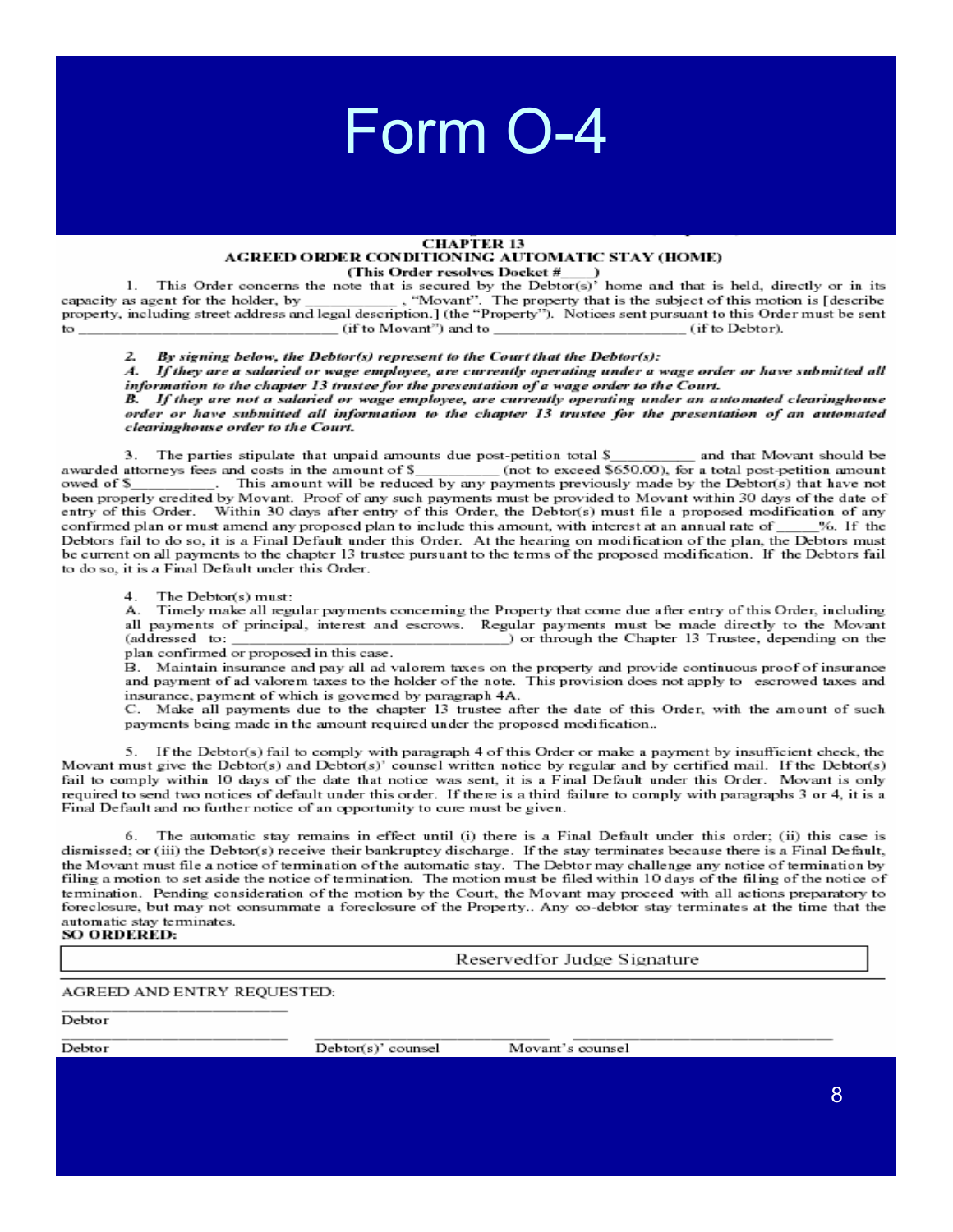### Form 0-4

#### **CHAPTER 13** AGREED ORDER CONDITIONING AUTOMATIC STAY (HOME) (This Order resolves Docket #

This Order concerns the note that is secured by the Debtor(s)<sup>3</sup> home and that is held, directly or in its  $\mathbf{1}$ . capacity as agent for the holder, by , "Movant". The property that is the subject of this motion is [describe property, including street address and legal description.] (the "Property"). Notices sent pursuant to this Order must be sent to (if to Movant") and to (if to Debtor).

By signing below, the Debtor(s) represent to the Court that the Debtor(s):  $\mathbf{z}$ 

 $\boldsymbol{A}$ If they are a salaried or wage employee, are currently operating under a wage order or have submitted all information to the chapter 13 trustee for the presentation of a wage order to the Court.

B. If they are not a salaried or wage employee, are currently operating under an automated clearinghouse order or have submitted all information to the chapter 13 trustee for the presentation of an automated clearinghouse order to the Court.

The parties stipulate that unpaid amounts due post-petition total S З. and that Movant should be (not to exceed \$650.00), for a total post-petition amount awarded attorneys fees and costs in the amount of \$ This amount will be reduced by any payments previously made by the Debtor(s) that have not owed of \$ been properly credited by Movant. Proof of any such payments must be provided to Movant within 30 days of the date of entry of this Order. Within 30 days after entry of this Order, the Debtor(s) must file a proposed modification of any confirmed plan or must amend any proposed plan to include this amount, with interest at an annual rate of %. If the Debtors fail to do so, it is a Final Default under this Order. At the hearing on modification of the plan, the Debtors must be current on all payments to the chapter 13 trustee pursuant to the terms of the proposed modification. If the Debtors fail to do so, it is a Final Default under this Order.

4. The Debtor(s) must:

Timely make all regular payments concerning the Property that come due after entry of this Order, including А. all payments of principal, interest and escrows. Regular payments must be made directly to the Movant ) or through the Chapter 13 Trustee, depending on the (addressed to: plan confirmed or proposed in this case.

B. Maintain insurance and pay all ad valorem taxes on the property and provide continuous proof of insurance and payment of ad valorem taxes to the holder of the note. This provision does not apply to escrowed taxes and insurance, payment of which is governed by paragraph 4A.

C. Make all payments due to the chapter 13 trustee after the date of this Order, with the amount of such payments being made in the amount required under the proposed modification...

5. If the Debtor(s) fail to comply with paragraph 4 of this Order or make a payment by insufficient check, the Movant must give the Debtor(s) and Debtor(s)' counsel written notice by regular and by certified mail. If the Debtor(s) fail to comply within 10 days of the date that notice was sent, it is a Final Default under this Order. Movant is only required to send two notices of default under this order. If there is a third failure to comply with paragraphs 3 or 4, it is a Final Default and no further notice of an opportunity to cure must be given.

The automatic stay remains in effect until (i) there is a Final Default under this order; (ii) this case is 6. dismissed; or (iii) the Debtor(s) receive their bankruptcy discharge. If the stay terminates because there is a Final Default, the Movant must file a notice of termination of the automatic stay. The Debtor may challenge any notice of termination by filing a motion to set aside the notice of termination. The motion must be filed within 10 days of the filing of the notice of termination. Pending consideration of the motion by the Court, the Movant may proceed with all actions preparatory to foreclosure, but may not consummate a foreclosure of the Property.. Any co-debtor stay terminates at the time that the automatic stay terminates.

SO ORDERED:

Reservedfor Judge Signature

AGREED AND ENTRY REQUESTED:

Debtor

Debtor

Debtor(s)' counsel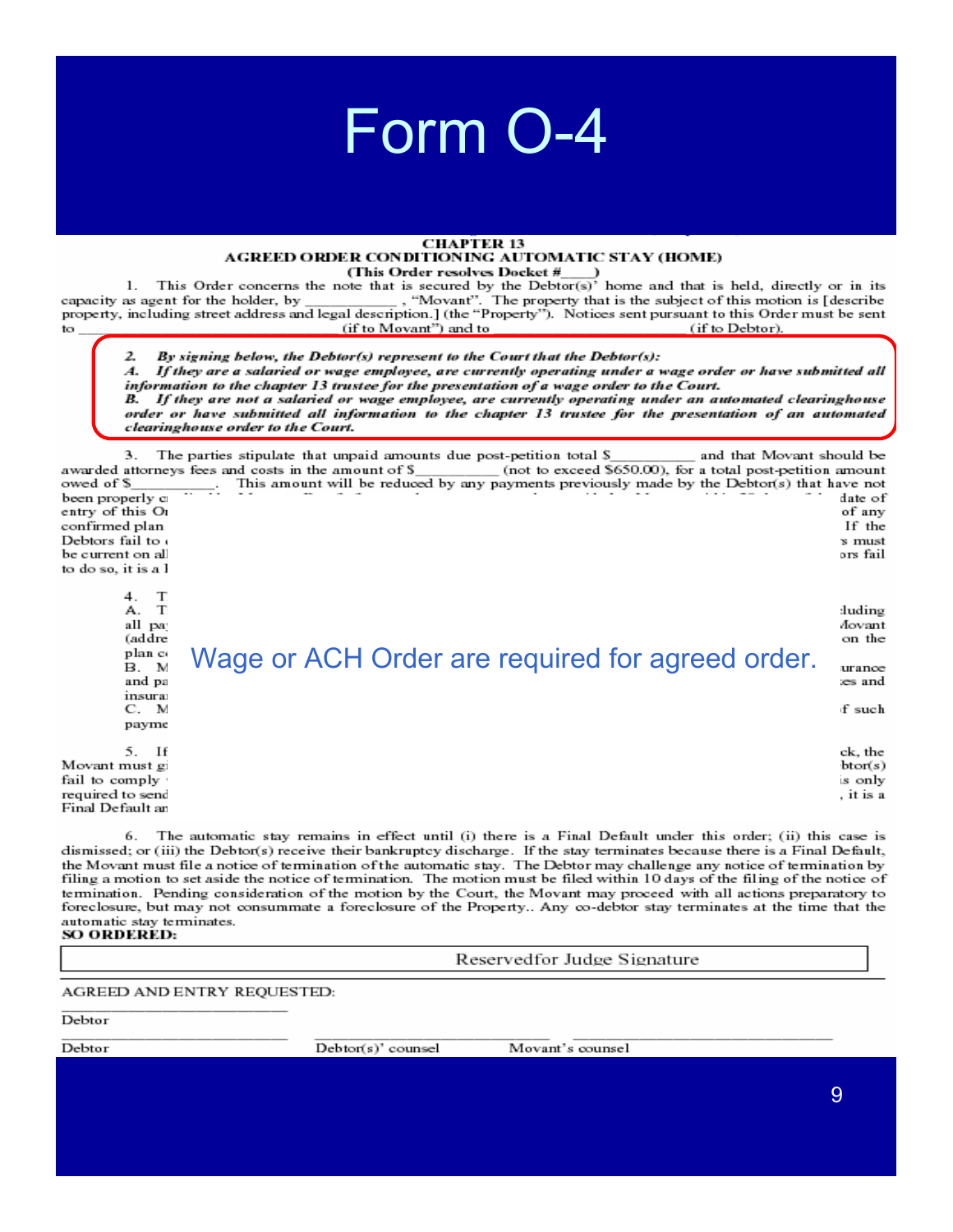#### **CHAPTER 13** AGREED ORDER CONDITIONING AUTOMATIC STAY (HOME) (This Order resolves Docket #

This Order concerns the note that is secured by the Debtor(s)<sup>2</sup> home and that is held, directly or in its  $\mathbf{1}$ . "Movant". The property that is the subject of this motion is [describe capacity as agent for the holder, by property, including street address and legal description.] (the "Property"). Notices sent pursuant to this Order must be sent to (if to Movant") and to (if to Debtor).

2 By signing below, the Debtor(s) represent to the Court that the Debtor(s):

 $\boldsymbol{A}$ If they are a salaried or wage employee, are currently operating under a wage order or have submitted all information to the chapter 13 trustee for the presentation of a wage order to the Court. B. If they are not a salaried or wage employee, are currently operating under an automated clearinghouse

order or have submitted all information to the chapter 13 trustee for the presentation of an automated clearinghouse order to the Court.

3. The parties stipulate that unpaid amounts due post-petition total  $\S$ and that Movant should be awarded attorneys fees and costs in the amount of \$\_ (not to exceed \$650.00), for a total post-petition amount owed of \$ This amount will be reduced by any payments previously made by the Debtor(s) that have not been properly c date of of any entry of this Or confirmed plan If the Debtors fail to s must be current on all ors fail to do so, it is a l 4.  $\mathbf T$ A. T duding all pa Aovant on the (addre plan co Wage or ACH Order are required for agreed order. B. M urance and pa æs and insura f such C. M payme  $5.$  If ck, the

Movant must g: fail to comply required to send Final Default ar

6. The automatic stay remains in effect until (i) there is a Final Default under this order; (ii) this case is dismissed; or (iii) the Debtor(s) receive their bankruptcy discharge. If the stay terminates because there is a Final Default, the Movant must file a notice of termination of the automatic stay. The Debtor may challenge any notice of termination by filing a motion to set aside the notice of termination. The motion must be filed within 10 days of the filing of the notice of termination. Pending consideration of the motion by the Court, the Movant may proceed with all actions preparatory to foreclosure, but may not consummate a foreclosure of the Property.. Any co-debtor stay terminates at the time that the automatic stay terminates. SO ORDERED:

Reservedfor Judge Signature

AGREED AND ENTRY REQUESTED:

Debtor

Debtor

Debtor(s)' counsel

Movant's counsel

 $btor(s)$ 

is only

. it is a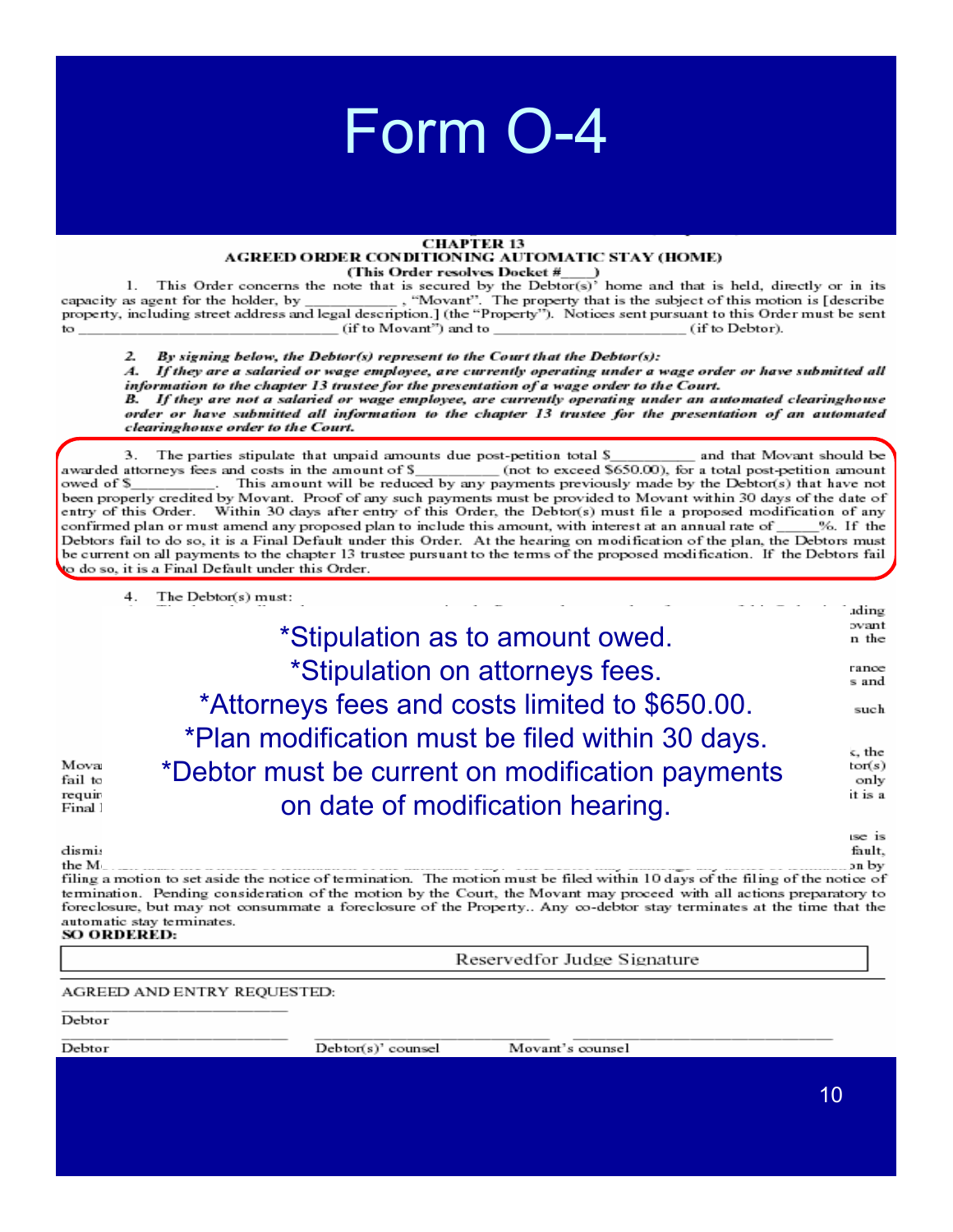#### **CHAPTER 13** AGREED ORDER CONDITIONING AUTOMATIC STAY (HOME) (This Order resolves Docket #

This Order concerns the note that is secured by the Debtor(s)<sup>3</sup> home and that is held, directly or in its  $\mathbf{1}$ . capacity as agent for the holder, by "Movant". The property that is the subject of this motion is [describe property, including street address and legal description.] (the "Property"). Notices sent pursuant to this Order must be sent (if to Movant") and to (if to Debtor). to

 $\mathbf{z}$ By signing below, the Debtor(s) represent to the Court that the Debtor(s):

 $\boldsymbol{A}$ If they are a salaried or wage employee, are currently operating under a wage order or have submitted all information to the chapter 13 trustee for the presentation of a wage order to the Court. B. If they are not a salaried or wage employee, are currently operating under an automated clearinghouse order or have submitted all information to the chapter 13 trustee for the presentation of an automated clearinghouse order to the Court.

The parties stipulate that unpaid amounts due post-petition total \$ З. and that Movant should be awarded attorneys fees and costs in the amount of \$\_ (not to exceed \$650.00), for a total post-petition amount This amount will be reduced by any payments previously made by the Debtor(s) that have not owed of \$ been properly credited by Movant. Proof of any such payments must be provided to Movant within 30 days of the date of entry of this Order. Within 30 days after entry of this Order, the Debtor(s) must file a proposed modification of any confirmed plan or must amend any proposed plan to include this amount, with interest at an annual rate of %. If the Debtors fail to do so, it is a Final Default under this Order. At the hearing on modification of the plan, the Debtors must be current on all payments to the chapter 13 trustee pursuant to the terms of the proposed modification. If the Debtors fail to do so, it is a Final Default under this Order.

4. The Debtor(s) must: ading ovant \*Stipulation as to amount owed. n the \*Stipulation on attorneys fees. rance s and \*Attorneys fees and costs limited to \$650.00. such \*Plan modification must be filed within 30 days. c, the Mova \*Debtor must be current on modification payments  $tor(s)$ fail to only requir it is a on date of modification hearing. Final 1 ise is

dismis fault. the M on bv filing a motion to set aside the notice of termination. The motion must be filed within 10 days of the filing of the notice of termination. Pending consideration of the motion by the Court, the Movant may proceed with all actions preparatory to foreclosure, but may not consummate a foreclosure of the Property.. Any co-debtor stay terminates at the time that the automatic stay terminates. SO ORDERED:

Reservedfor Judge Signature

AGREED AND ENTRY REQUESTED:

Debtor

Debtor

Debtor(s)' counsel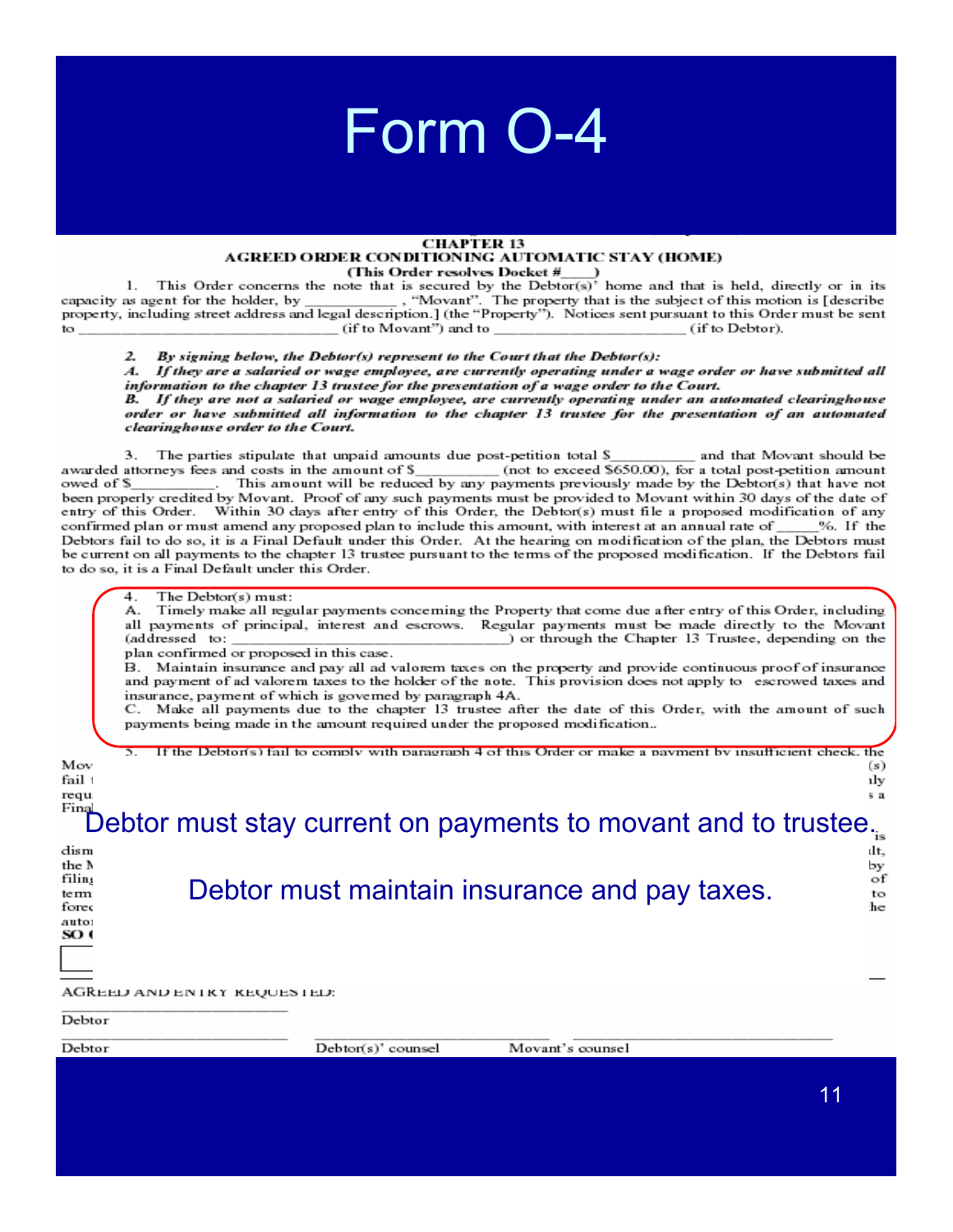### **CHAPTER 13** AGREED ORDER CONDITIONING AUTOMATIC STAY (HOME)

(This Order resolves Docket  $\frac{m}{n}$ )<br>This Order concerns the note that is secured by the Debtor(s)' home and that is held, directly or in its  $\mathbf{1}$ . , "Movant". The property that is the subject of this motion is [describe capacity as agent for the holder, by property, including street address and legal description.] (the "Property"). Notices sent pursuant to this Order must be sent (if to Movant") and to (if to Debtor). to.

 $\mathcal{P}$ By signing below, the Debtor(s) represent to the Court that the Debtor(s):

If they are a salaried or wage employee, are currently operating under a wage order or have submitted all  $\boldsymbol{A}$ information to the chapter 13 trustee for the presentation of a wage order to the Court. B. If they are not a salaried or wage employee, are currently operating under an automated clearinghouse

order or have submitted all information to the chapter 13 trustee for the presentation of an automated clearinghouse order to the Court.

The parties stipulate that unpaid amounts due post-petition total \$ З. and that Movant should be awarded attorneys fees and costs in the amount of \$ (not to exceed \$650.00), for a total post-petition amount . This amount will be reduced by any payments previously made by the Debtor(s) that have not owed of \$ been properly credited by Movant. Proof of any such payments must be provided to Movant within 30 days of the date of entry of this Order. Within 30 days after entry of this Order, the Debtor(s) must file a proposed modification of any confirmed plan or must amend any proposed plan to include this amount, with interest at an annual rate of %. If the Debtors fail to do so, it is a Final Default under this Order. At the hearing on modification of the plan, the Debtors must be current on all payments to the chapter 13 trustee pursuant to the terms of the proposed modification. If the Debtors fail to do so, it is a Final Default under this Order.

#### The Debtor(s) must: 4.

Timely make all regular payments concerning the Property that come due after entry of this Order, including А. all payments of principal, interest and escrows. Regular payments must be made directly to the Movant (addressed to: ) or through the Chapter 13 Trustee, depending on the

plan confirmed or proposed in this case.

B. Maintain insurance and pay all ad valorem taxes on the property and provide continuous proof of insurance and payment of ad valorem taxes to the holder of the note. This provision does not apply to escrowed taxes and insurance, payment of which is governed by paragraph 4A.

C. Make all payments due to the chapter 13 trustee after the date of this Order, with the amount of such payments being made in the amount required under the proposed modification...

|                             | lv with naraoranh.     |                                                                |      |
|-----------------------------|------------------------|----------------------------------------------------------------|------|
| Mov                         |                        |                                                                |      |
|                             |                        |                                                                | (s)  |
| fail                        |                        |                                                                | ılv  |
| requ                        |                        |                                                                | s a  |
| Fina                        |                        | Debtor must stay current on payments to movant and to trustee. |      |
| dism                        |                        |                                                                | ılt. |
| the N                       |                        |                                                                | by   |
| filin                       |                        |                                                                | of   |
| term                        |                        | Debtor must maintain insurance and pay taxes.                  | to   |
| fores                       |                        |                                                                | he   |
| auto:                       |                        |                                                                |      |
| SO <sub>1</sub>             |                        |                                                                |      |
|                             |                        |                                                                |      |
|                             |                        |                                                                |      |
|                             |                        |                                                                |      |
| AGREED AND ENTRY REQUESTED: |                        |                                                                |      |
| Debtor                      |                        |                                                                |      |
| Debtor                      | $Debtort(s)$ ' counsel | Movant's counsel                                               |      |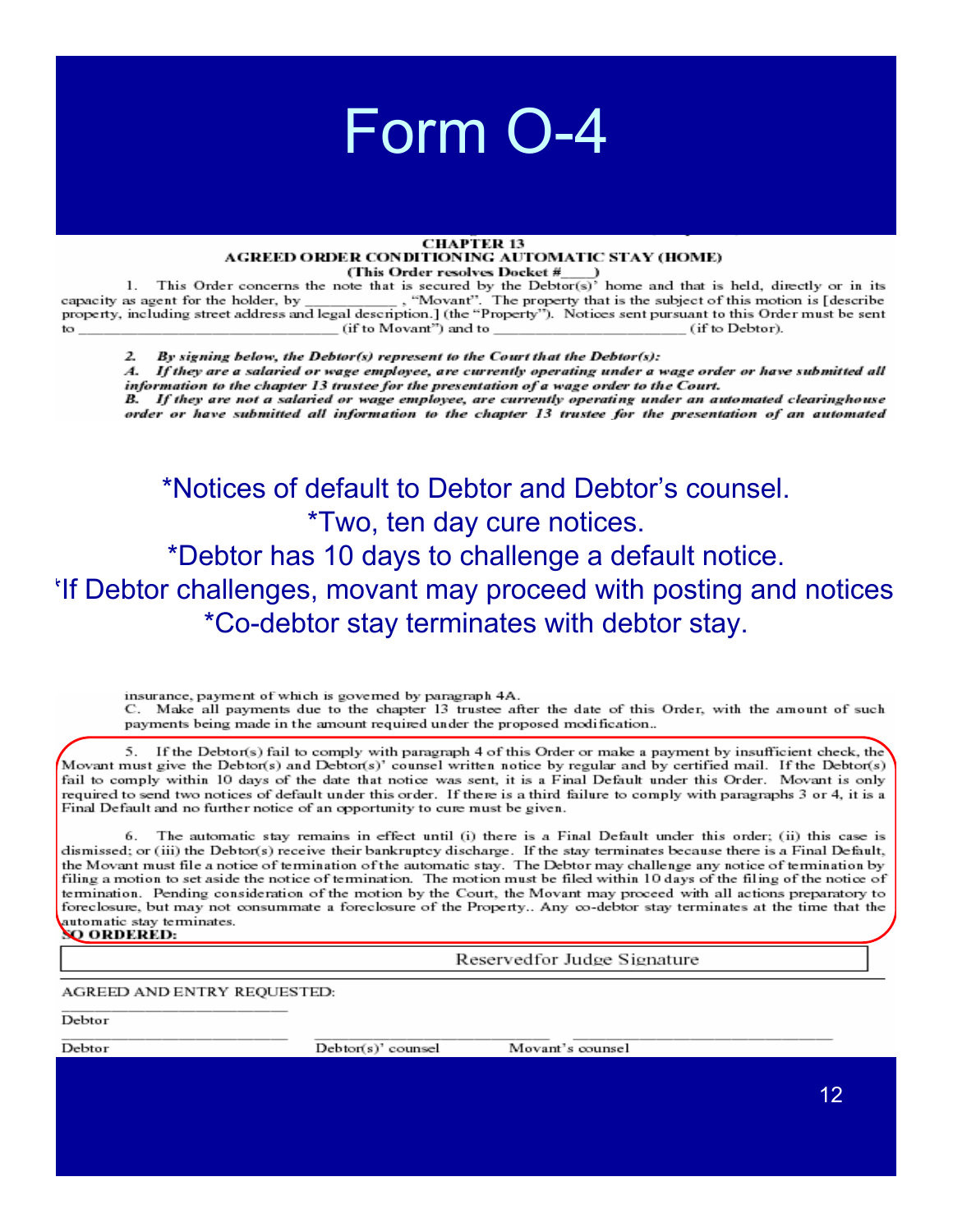### Form 0-4

#### **CHAPTER 13** AGREED ORDER CONDITIONING AUTOMATIC STAY (HOME) (This Order resolves Docket #

This Order concerns the note that is secured by the Debtor(s)<sup>2</sup> home and that is held, directly or in its 1. capacity as agent for the holder, by "Movant". The property that is the subject of this motion is [describe property, including street address and legal description.] (the "Property"). Notices sent pursuant to this Order must be sent to (if to Movant") and to (if to Debtor).

By signing below, the Debtor(s) represent to the Court that the Debtor(s):  $\mathbf{z}$ 

 $\boldsymbol{A}$ If they are a salaried or wage employee, are currently operating under a wage order or have submitted all information to the chapter 13 trustee for the presentation of a wage order to the Court.

B. If they are not a salaried or wage employee, are currently operating under an automated clearinghouse order or have submitted all information to the chapter 13 trustee for the presentation of an automated

\*Notices of default to Debtor and Debtor's counsel. *\*Two, ten day cure notices.* 

\*Debtor has 10 days to challenge a default notice. If Debtor challenges, movant may proceed with posting and notices \*Co-debtor stay terminates with debtor stay.

insurance, payment of which is governed by paragraph 4A. C. Make all payments due to the chapter 13 trustee after the date of this Order, with the amount of such payments being made in the amount required under the proposed modification...

If the Debtor(s) fail to comply with paragraph 4 of this Order or make a payment by insufficient check, the 5. Movant must give the Debtor(s) and Debtor(s)' counsel written notice by regular and by certified mail. If the Debtor(s) fail to comply within 10 days of the date that notice was sent, it is a Final Default under this Order. Movant is only required to send two notices of default under this order. If there is a third failure to comply with paragraphs 3 or 4, it is a Final Default and no further notice of an opportunity to cure must be given.

The automatic stay remains in effect until (i) there is a Final Default under this order; (ii) this case is 6. dismissed; or (iii) the Debtor(s) receive their bankruptcy discharge. If the stay terminates because there is a Final Default, the Movant must file a notice of termination of the automatic stay. The Debtor may challenge any notice of termination by filing a motion to set aside the notice of termination. The motion must be filed within 10 days of the filing of the notice of termination. Pending consideration of the motion by the Court, the Movant may proceed with all actions preparatory to foreclosure, but may not consummate a foreclosure of the Property.. Any co-debtor stay terminates at the time that the automatic stay terminates. **SO ORDERED:** 

Reservedfor Judge Signature

AGREED AND ENTRY REQUESTED:

Debtor

Debtor

Debtor(s)' counsel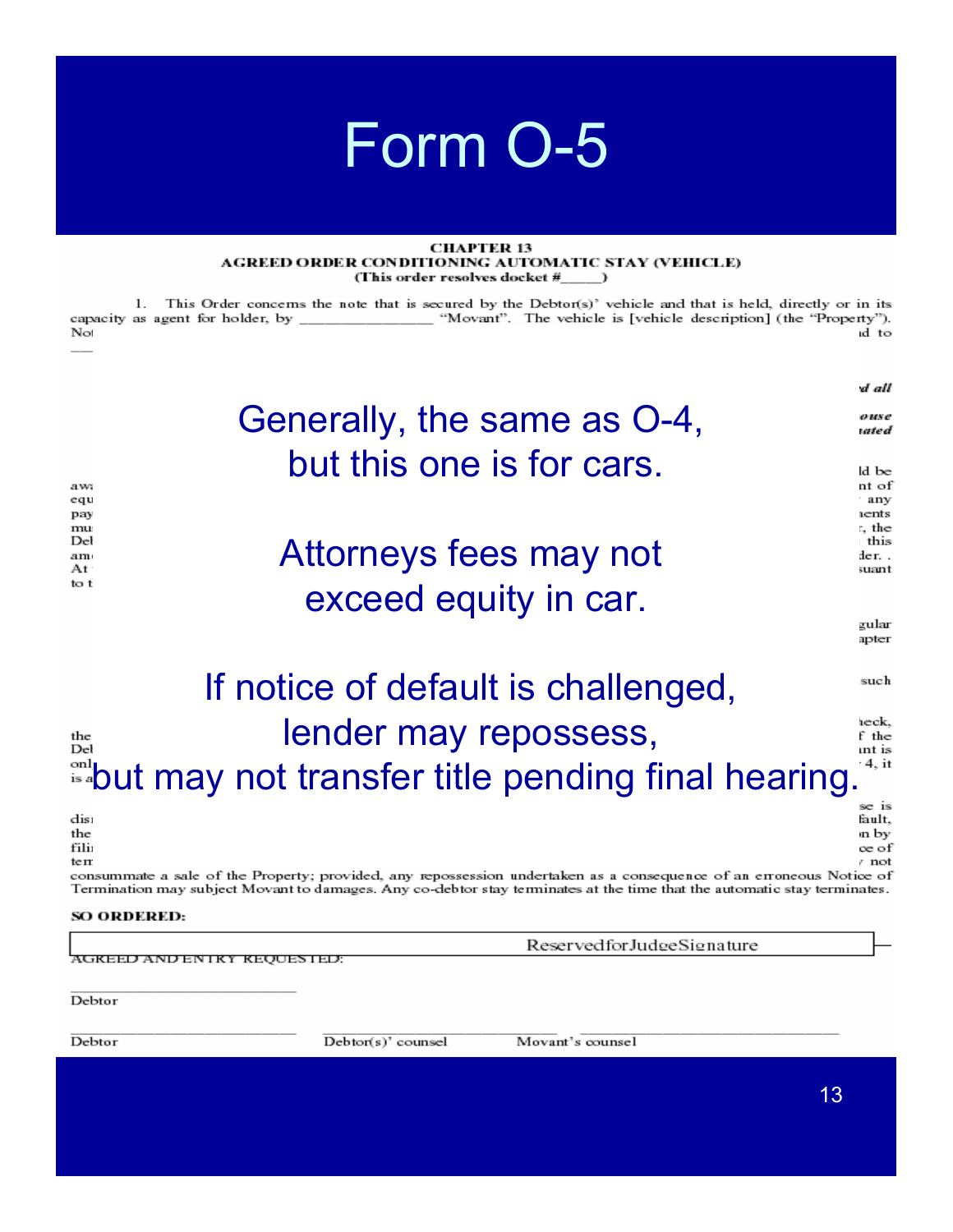#### **CHAPTER 13** AGREED ORDER CONDITIONING AUTOMATIC STAY (VEHICLE) (This order resolves docket #\_\_\_\_\_)

1. This Order concerns the note that is secured by the Debtor(s)' vehicle and that is held, directly or in its capacity as agent for holder, by \_\_\_\_\_\_\_\_\_\_\_\_ "Movant". The vehicle is [vehicle description] (the "Property"). id to No

|                                      |                                                                                                                                                                                                                                                 | d all                                     |
|--------------------------------------|-------------------------------------------------------------------------------------------------------------------------------------------------------------------------------------------------------------------------------------------------|-------------------------------------------|
|                                      | Generally, the same as O-4,                                                                                                                                                                                                                     | ouse<br>wted                              |
| a wa<br>equ                          | but this one is for cars.                                                                                                                                                                                                                       | ld be<br>nt of<br>any                     |
| pay<br>mu<br>Del<br>am<br>At<br>to t | Attorneys fees may not                                                                                                                                                                                                                          | ıents<br>r, the<br>this<br>der<br>suant   |
|                                      | exceed equity in car.                                                                                                                                                                                                                           |                                           |
|                                      |                                                                                                                                                                                                                                                 | gular<br>apter                            |
|                                      | If notice of default is challenged,                                                                                                                                                                                                             | such                                      |
| the<br>Del                           | lender may repossess,                                                                                                                                                                                                                           | ieck.<br>f the                            |
|                                      | <sup>ள1</sup> but may not transfer title pending final hearing.                                                                                                                                                                                 | ınt is<br>: 4. it                         |
| dis:<br>the<br>fili<br>ten           |                                                                                                                                                                                                                                                 | se is<br>fault.<br>ın by<br>oe of<br>⊤not |
|                                      | consummate a sale of the Property; provided, any repossession undertaken as a consequence of an erroneous Notice of<br>Termination may subject Movant to damages. Any co-debtor stay terminates at the time that the automatic stay terminates. |                                           |
| SO ORDERED:                          |                                                                                                                                                                                                                                                 |                                           |
|                                      | ReservedforJudgeSignature<br>AGKEED AND EN IKY KEOUESTED:                                                                                                                                                                                       |                                           |
|                                      |                                                                                                                                                                                                                                                 |                                           |

Debtor

Debtor

 $Debtor(s)'$  counsel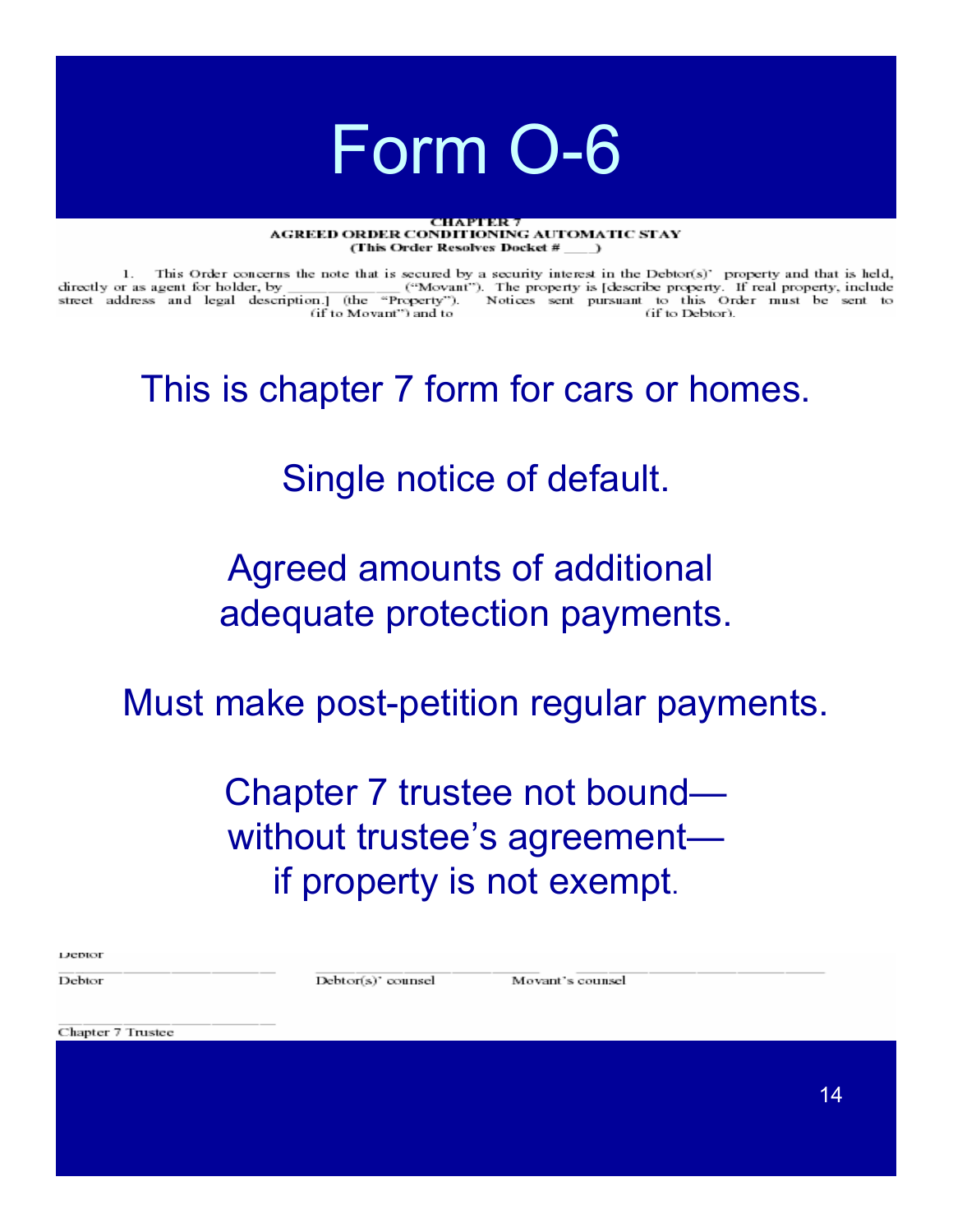#### **TOI E RABIN DE SE AGREED ORDER CONDITIONING AUTOMATIC STAY** (This Order Resolves Docket #

1. This Order concerns the note that is secured by a security interest in the Debtor(s)' property and that is held, directly or as agent for holder, by ("Movant"). The property is [describe property. If real property, include street address and legal description.] (the "Property"). Notices sent pursuant to this Order must be sent to (if to Debtor). (if to Movant") and to

This is chapter 7 form for cars or homes.

### Single notice of default.

### Agreed amounts of additional adequate protection payments.

Must make post-petition regular payments.

### Chapter 7 trustee not bound without trustee's agreement if property is not exempt.

| <b>DEDROI</b> |  |   |
|---------------|--|---|
| Debto         |  | Æ |

Debtor(s)' counsel

Movant's counsel

Chapter 7 Trustee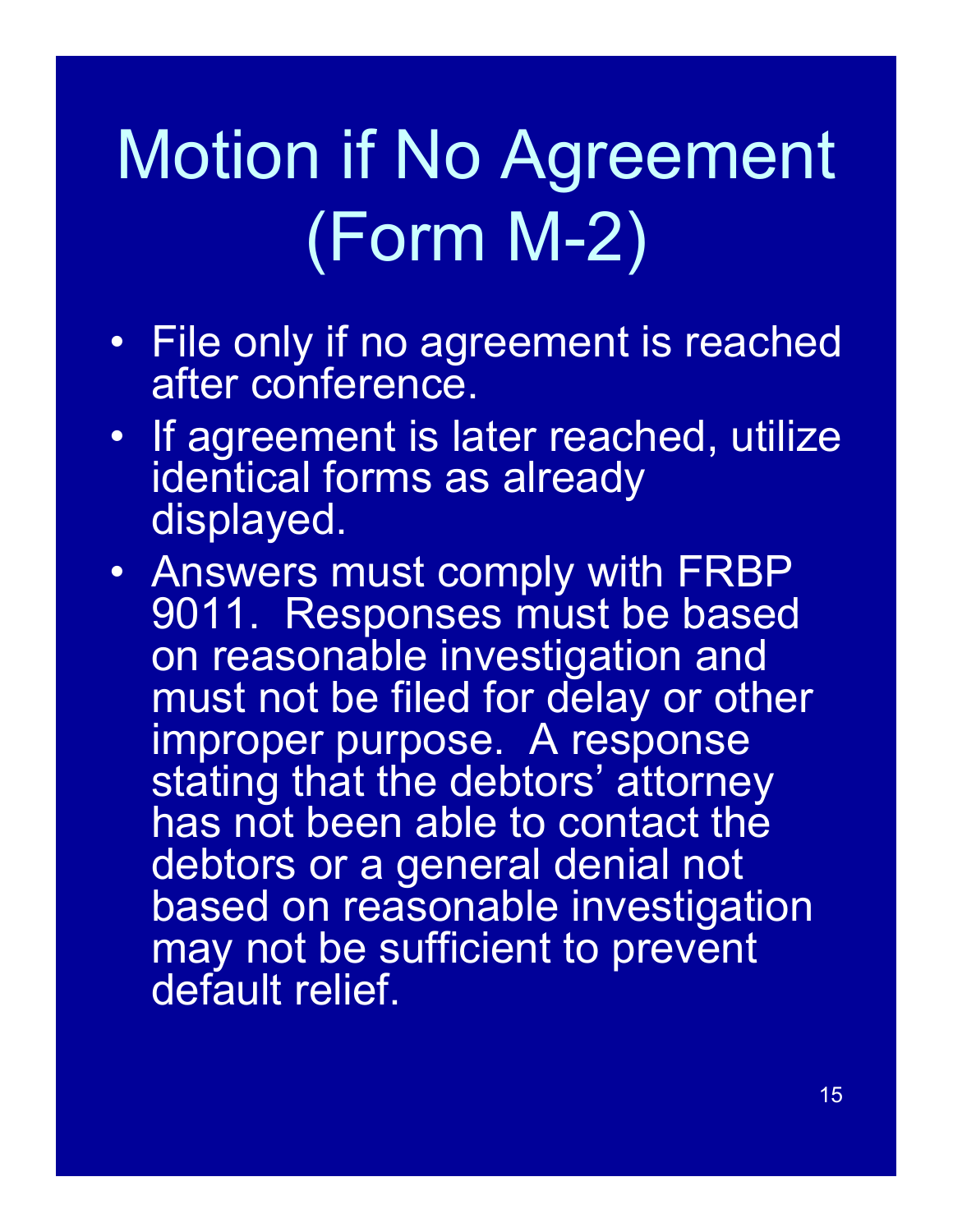# Motion if No Agreement (Form M-2)

- File only if no agreement is reached after conference.
- If agreement is later reached, utilize identical forms as already displayed.
- Answers must comply with FRBP 9011. Responses must be based on reasonable investigation and must not be filed for delay or other improper purpose. A response stating that the debtors' attorney has not been able to contact the debtors or a general denial not based on reasonable investigation may not be sufficient to prevent default relief.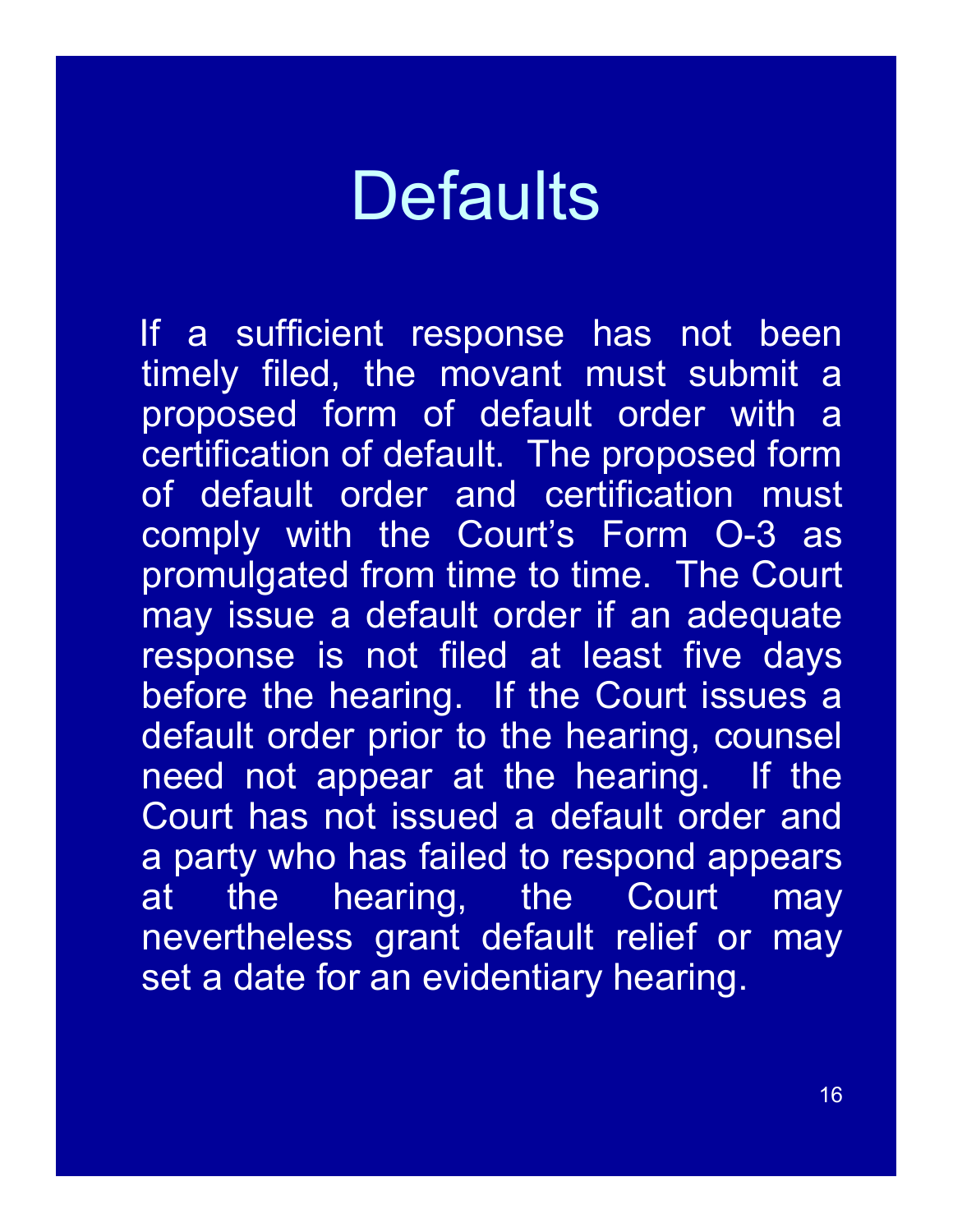# **Defaults**

If a sufficient response has not been timely filed, the movant must submit a proposed form of default order with a certification of default. The proposed form of default order and certification must comply with the Court's Form O-3 as promulgated from time to time. The Court may issue a default order if an adequate response is not filed at least five days before the hearing. If the Court issues a default order prior to the hearing, counsel need not appear at the hearing. If the Court has not issued a default order and a party who has failed to respond appears at the hearing, the Court may nevertheless grant default relief or may set a date for an evidentiary hearing.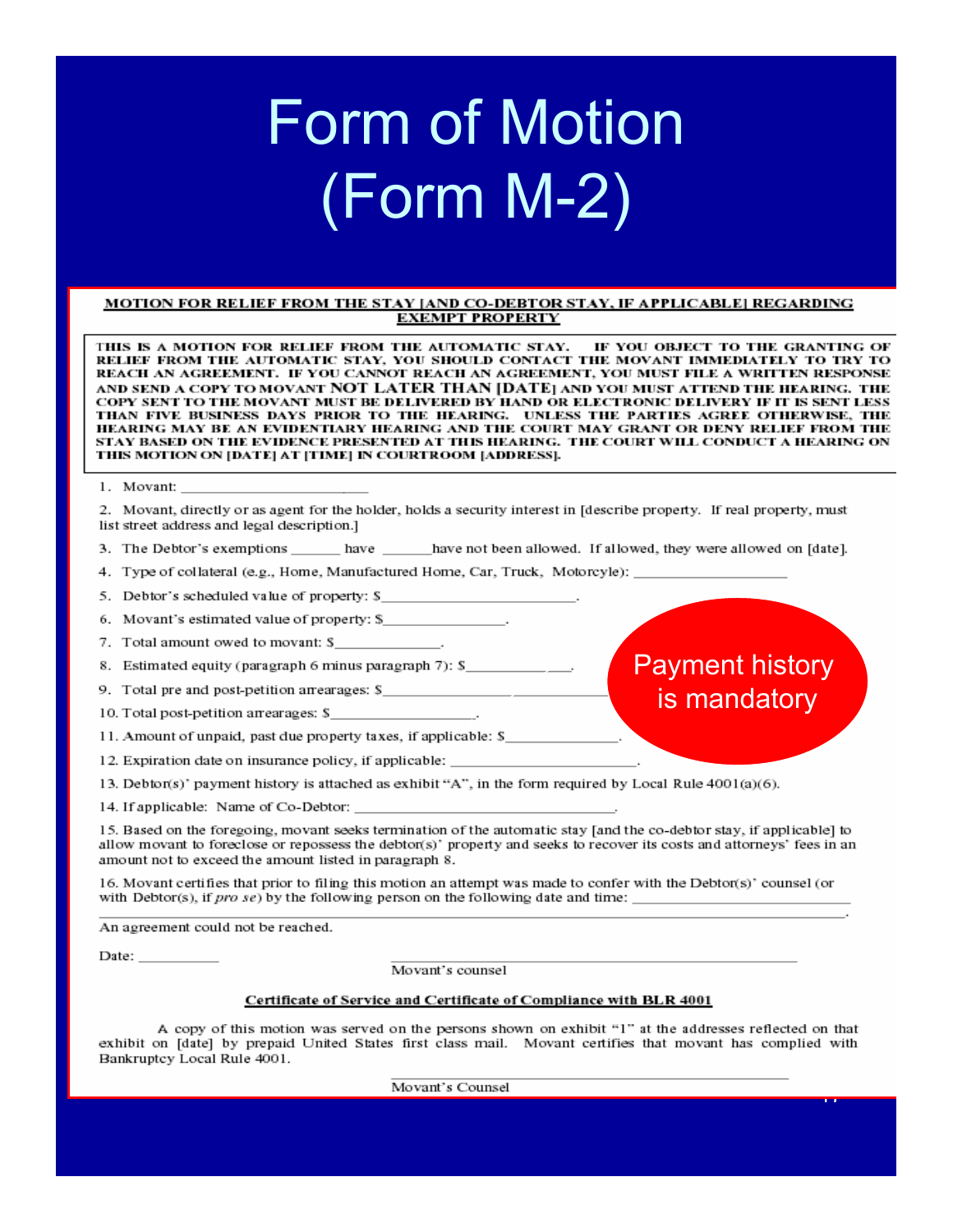# **Form of Motion** (Form M-2)

#### MOTION FOR RELIEF FROM THE STAY [AND CO-DEBTOR STAY, IF APPLICABLE] REGARDING **EXEMPT PROPERTY**

THIS IS A MOTION FOR RELIEF FROM THE AUTOMATIC STAY. IF YOU OBJECT TO THE GRANTING OF RELIEF FROM THE AUTOMATIC STAY, YOU SHOULD CONTACT THE MOVANT IMMEDIATELY TO TRY TO REACH AN AGREEMENT. IF YOU CANNOT REACH AN AGREEMENT, YOU MUST FILE A WRITTEN RESPONSE and send a copy to movant NOT LATER THAN [DATE] and you must attend the hearing. the COPY SENT TO THE MOVANT MUST BE DELIVERED BY HAND OR ELECTRONIC DELIVERY IF IT IS SENT LESS THAN FIVE BUSINESS DAYS PRIOR TO THE HEARING. UNLESS THE PARTIES AGREE OTHERWISE, THE HEARING MAY BE AN EVIDENTIARY HEARING AND THE COURT MAY GRANT OR DENY RELIEF FROM THE STAY BASED ON THE EVIDENCE PRESENTED AT THIS HEARING. THE COURT WILL CONDUCT A HEARING ON THIS MOTION ON [DATE] AT [TIME] IN COURTROOM [ADDRESS].

#### 1. Movant:

2. Movant, directly or as agent for the holder, holds a security interest in [describe property. If real property, must list street address and legal description.]

- 3. The Debtor's exemptions \_\_\_\_\_\_ have \_\_\_\_\_ have not been allowed. If allowed, they were allowed on [date].
- 4. Type of collateral (e.g., Home, Manufactured Home, Car, Truck, Motorcyle):
- 5. Debtor's scheduled value of property: \$

6. Movant's estimated value of property: \$

- 7. Total amount owed to movant: \$
- 8. Estimated equity (paragraph 6 minus paragraph 7): \$
- 9. Total pre and post-petition arrearages: \$
- 10. Total post-petition arrearages: \$
- 11. Amount of unpaid, past due property taxes, if applicable: \$
- 12. Expiration date on insurance policy, if applicable:
- 13. Debton(s)' payment history is attached as exhibit "A", in the form required by Local Rule 4001(a)(6).

14. If applicable: Name of Co-Debtor:

15. Based on the foregoing, movant seeks termination of the automatic stay [and the co-debtor stay, if applicable] to allow movant to foreclose or repossess the debtor(s)' property and seeks to recover its costs and attorneys' fees in an amount not to exceed the amount listed in paragraph 8.

16. Movant certifies that prior to filing this motion an attempt was made to confer with the Debtor(s)' counsel (or with Debtor(s), if  $pro se$ ) by the following person on the following date and time:  $\frac{1}{100}$ 

An agreement could not be reached.

Date:  $\qquad \qquad$ 

Movant's counsel

### Certificate of Service and Certificate of Compliance with BLR 4001

A copy of this motion was served on the persons shown on exhibit "1" at the addresses reflected on that exhibit on [date] by prepaid United States first class mail. Movant certifies that movant has complied with Bankruptcy Local Rule 4001.

Movant's Counsel

**Payment history** 

is mandatory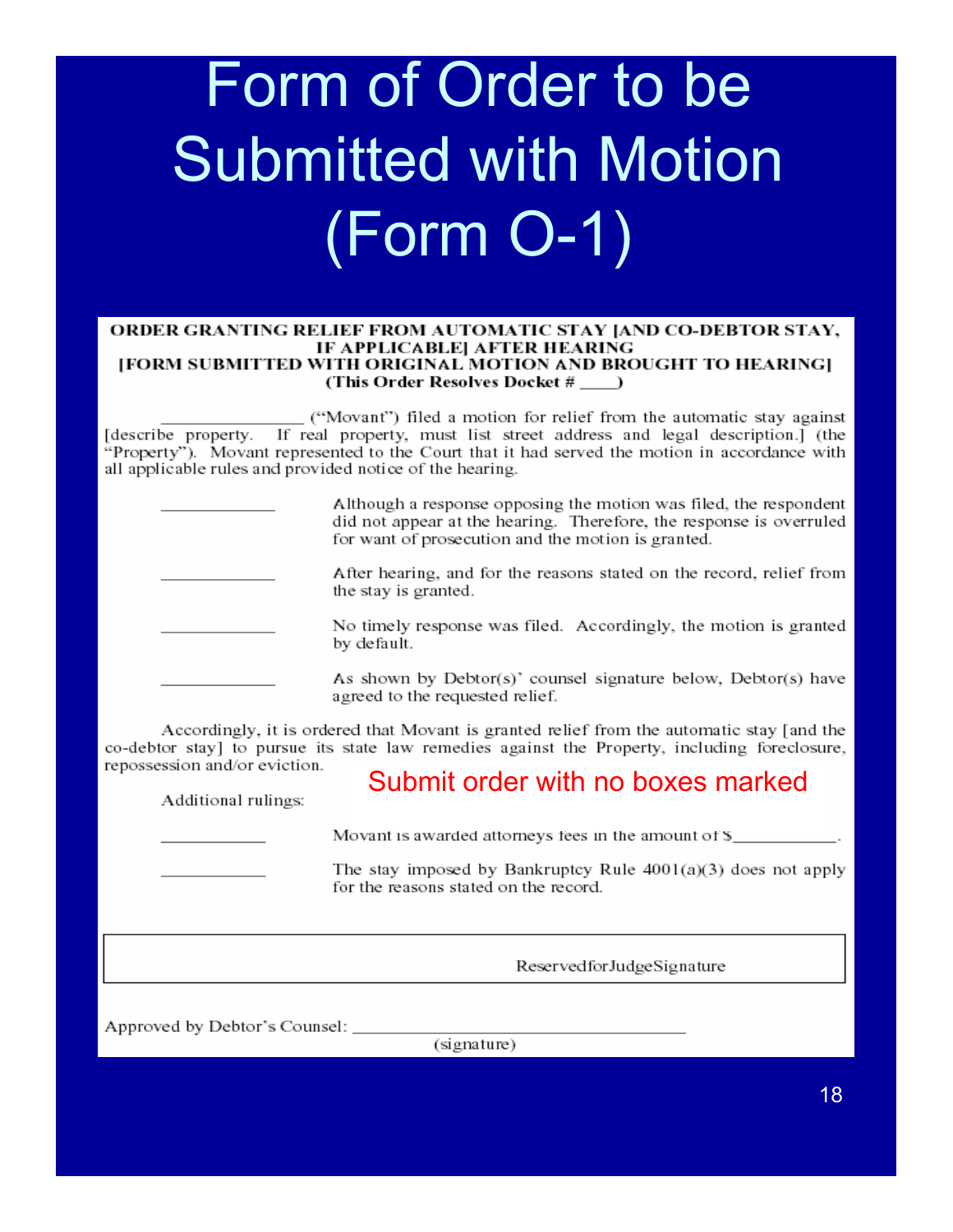# Form of Order to be **Submitted with Motion** (Form O-1)

### ORDER GRANTING RELIEF FROM AUTOMATIC STAY JAND CO-DEBTOR STAY, IF APPLICABLE] AFTER HEARING [FORM SUBMITTED WITH ORIGINAL MOTION AND BROUGHT TO HEARING] (This Order Resolves Docket # )

("Movant") filed a motion for relief from the automatic stay against [describe property. If real property, must list street address and legal description.] (the "Property"). Movant represented to the Court that it had served the motion in accordance with all applicable rules and provided notice of the hearing.

Although a response opposing the motion was filed, the respondent did not appear at the hearing. Therefore, the response is overruled for want of prosecution and the motion is granted. After hearing, and for the reasons stated on the record, relief from the stay is granted. No timely response was filed. Accordingly, the motion is granted by default. As shown by Debtor(s)' counsel signature below, Debtor(s) have agreed to the requested relief.

Accordingly, it is ordered that Movant is granted relief from the automatic stay [and the co-debtor stay] to pursue its state law remedies against the Property, including foreclosure, repossession and/or eviction.

Additional rulings:

### Submit order with no boxes marked

Movant is awarded attorneys fees in the amount of \$

The stay imposed by Bankruptcy Rule  $4001(a)(3)$  does not apply for the reasons stated on the record.

ReservedforJudgeSignature

Approved by Debtor's Counsel: \_\_\_

(signature)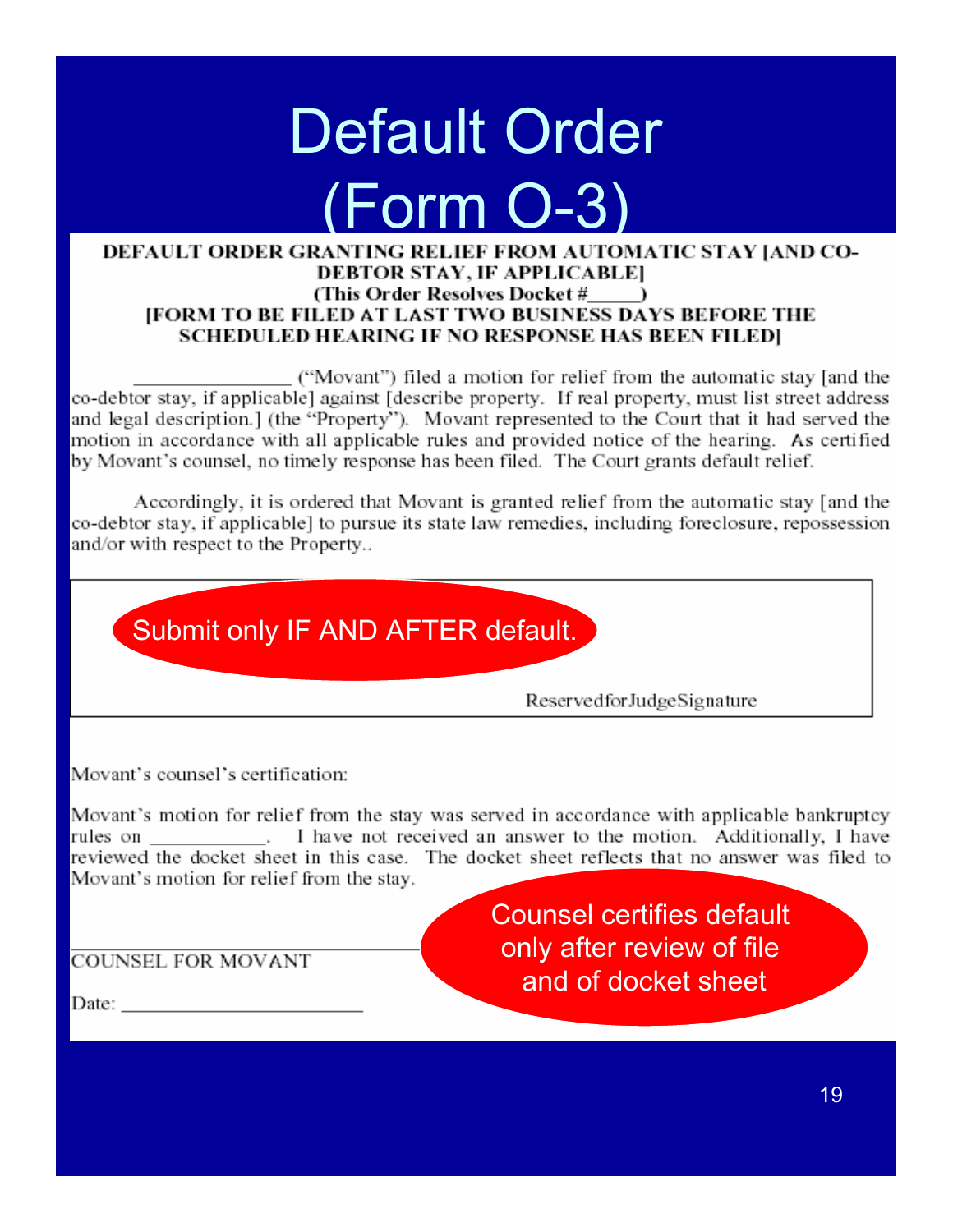# Default Order (Form O-3)

### DEFAULT ORDER GRANTING RELIEF FROM AUTOMATIC STAY JAND CO-DEBTOR STAY, IF APPLICABLE] (This Order Resolves Docket # ) **IFORM TO BE FILED AT LAST TWO BUSINESS DAYS BEFORE THE** SCHEDULED HEARING IF NO RESPONSE HAS BEEN FILEDI

("Movant") filed a motion for relief from the automatic stay [and the co-debtor stay, if applicable] against [describe property. If real property, must list street address and legal description.] (the "Property"). Movant represented to the Court that it had served the motion in accordance with all applicable rules and provided notice of the hearing. As certified by Movant's counsel, no timely response has been filed. The Court grants default relief.

Accordingly, it is ordered that Movant is granted relief from the automatic stay [and the co-debtor stay, if applicable] to pursue its state law remedies, including foreclosure, repossession and/or with respect to the Property...



Movant's counsel's certification:

Movant's motion for relief from the stay was served in accordance with applicable bankruptcy rules on \_\_\_\_\_\_\_\_\_\_\_\_\_\_. I have not received an answer to the motion. Additionally, I have reviewed the docket sheet in this case. The docket sheet reflects that no answer was filed to Movant's motion for relief from the stay.

**COUNSEL FOR MOVANT** 

Counsel certifies default only after review of file and of docket sheet

Date:  $\_\_$